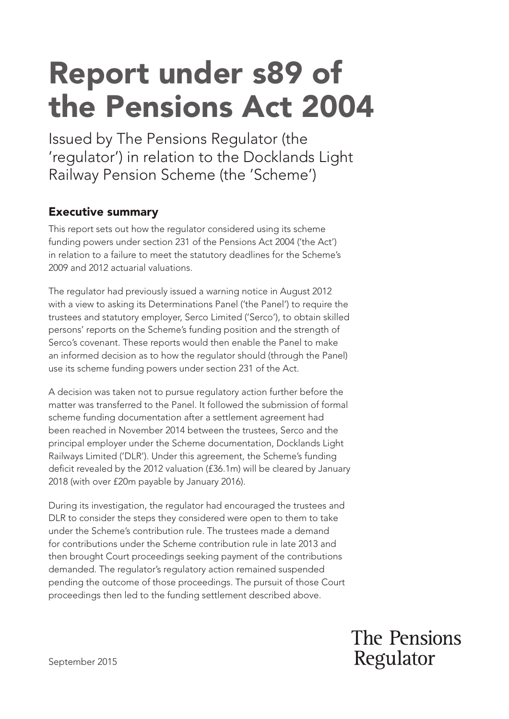# Report under s89 of the Pensions Act 2004

Issued by The Pensions Regulator (the 'regulator') in relation to the Docklands Light Railway Pension Scheme (the 'Scheme')

# Executive summary

This report sets out how the regulator considered using its scheme funding powers under section 231 of the Pensions Act 2004 ('the Act') in relation to a failure to meet the statutory deadlines for the Scheme's 2009 and 2012 actuarial valuations.

The regulator had previously issued a warning notice in August 2012 with a view to asking its Determinations Panel ('the Panel') to require the trustees and statutory employer, Serco Limited ('Serco'), to obtain skilled persons' reports on the Scheme's funding position and the strength of Serco's covenant. These reports would then enable the Panel to make an informed decision as to how the regulator should (through the Panel) use its scheme funding powers under section 231 of the Act.

A decision was taken not to pursue regulatory action further before the matter was transferred to the Panel. It followed the submission of formal scheme funding documentation after a settlement agreement had been reached in November 2014 between the trustees, Serco and the principal employer under the Scheme documentation, Docklands Light Railways Limited ('DLR'). Under this agreement, the Scheme's funding deficit revealed by the 2012 valuation (£36.1m) will be cleared by January 2018 (with over £20m payable by January 2016).

During its investigation, the regulator had encouraged the trustees and DLR to consider the steps they considered were open to them to take under the Scheme's contribution rule. The trustees made a demand for contributions under the Scheme contribution rule in late 2013 and then brought Court proceedings seeking payment of the contributions demanded. The regulator's regulatory action remained suspended pending the outcome of those proceedings. The pursuit of those Court proceedings then led to the funding settlement described above.

> The Pensions Regulator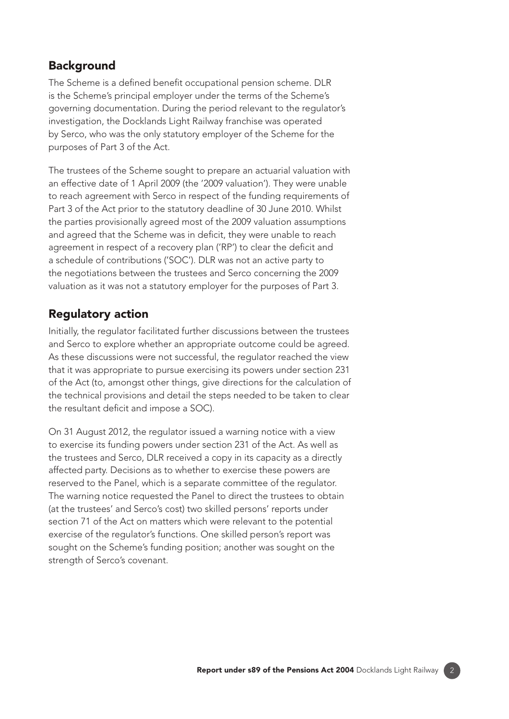#### **Background**

The Scheme is a defined benefit occupational pension scheme. DLR is the Scheme's principal employer under the terms of the Scheme's governing documentation. During the period relevant to the regulator's investigation, the Docklands Light Railway franchise was operated by Serco, who was the only statutory employer of the Scheme for the purposes of Part 3 of the Act.

The trustees of the Scheme sought to prepare an actuarial valuation with an effective date of 1 April 2009 (the '2009 valuation'). They were unable to reach agreement with Serco in respect of the funding requirements of Part 3 of the Act prior to the statutory deadline of 30 June 2010. Whilst the parties provisionally agreed most of the 2009 valuation assumptions and agreed that the Scheme was in deficit, they were unable to reach agreement in respect of a recovery plan ('RP') to clear the deficit and a schedule of contributions ('SOC'). DLR was not an active party to the negotiations between the trustees and Serco concerning the 2009 valuation as it was not a statutory employer for the purposes of Part 3.

## Regulatory action

Initially, the regulator facilitated further discussions between the trustees and Serco to explore whether an appropriate outcome could be agreed. As these discussions were not successful, the regulator reached the view that it was appropriate to pursue exercising its powers under section 231 of the Act (to, amongst other things, give directions for the calculation of the technical provisions and detail the steps needed to be taken to clear the resultant deficit and impose a SOC).

On 31 August 2012, the regulator issued a warning notice with a view to exercise its funding powers under section 231 of the Act. As well as the trustees and Serco, DLR received a copy in its capacity as a directly affected party. Decisions as to whether to exercise these powers are reserved to the Panel, which is a separate committee of the regulator. The warning notice requested the Panel to direct the trustees to obtain (at the trustees' and Serco's cost) two skilled persons' reports under section 71 of the Act on matters which were relevant to the potential exercise of the regulator's functions. One skilled person's report was sought on the Scheme's funding position; another was sought on the strength of Serco's covenant.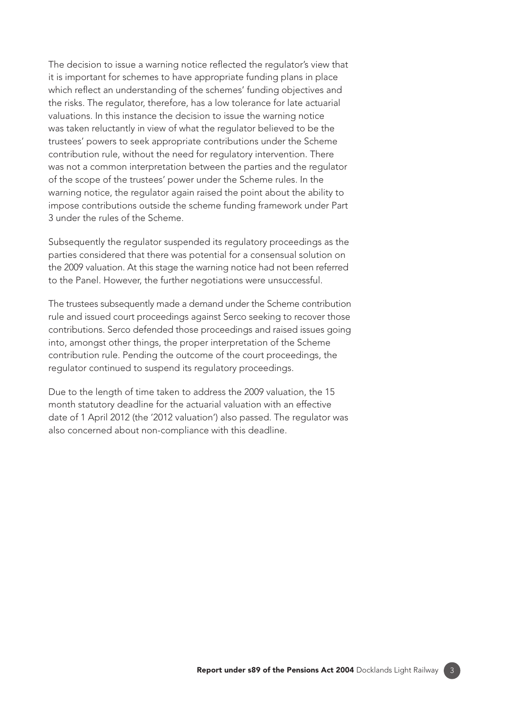The decision to issue a warning notice reflected the regulator's view that it is important for schemes to have appropriate funding plans in place which reflect an understanding of the schemes' funding objectives and the risks. The regulator, therefore, has a low tolerance for late actuarial valuations. In this instance the decision to issue the warning notice was taken reluctantly in view of what the regulator believed to be the trustees' powers to seek appropriate contributions under the Scheme contribution rule, without the need for regulatory intervention. There was not a common interpretation between the parties and the regulator of the scope of the trustees' power under the Scheme rules. In the warning notice, the regulator again raised the point about the ability to impose contributions outside the scheme funding framework under Part 3 under the rules of the Scheme.

Subsequently the regulator suspended its regulatory proceedings as the parties considered that there was potential for a consensual solution on the 2009 valuation. At this stage the warning notice had not been referred to the Panel. However, the further negotiations were unsuccessful.

The trustees subsequently made a demand under the Scheme contribution rule and issued court proceedings against Serco seeking to recover those contributions. Serco defended those proceedings and raised issues going into, amongst other things, the proper interpretation of the Scheme contribution rule. Pending the outcome of the court proceedings, the regulator continued to suspend its regulatory proceedings.

Due to the length of time taken to address the 2009 valuation, the 15 month statutory deadline for the actuarial valuation with an effective date of 1 April 2012 (the '2012 valuation') also passed. The regulator was also concerned about non-compliance with this deadline.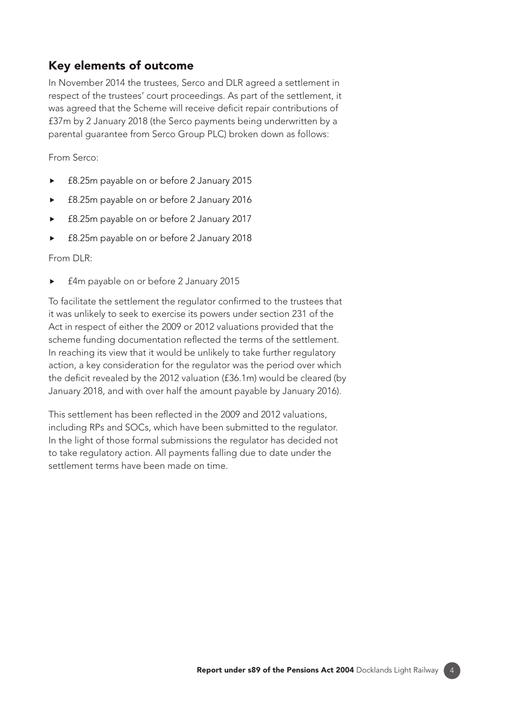## Key elements of outcome

In November 2014 the trustees, Serco and DLR agreed a settlement in respect of the trustees' court proceedings. As part of the settlement, it was agreed that the Scheme will receive deficit repair contributions of £37m by 2 January 2018 (the Serco payments being underwritten by a parental guarantee from Serco Group PLC) broken down as follows:

From Serco:

- ► £8.25m payable on or before 2 January 2015
- ► £8.25m payable on or before 2 January 2016
- ► £8.25m payable on or before 2 January 2017
- ► £8.25m payable on or before 2 January 2018

From DLR:

£4m payable on or before 2 January 2015

To facilitate the settlement the regulator confirmed to the trustees that it was unlikely to seek to exercise its powers under section 231 of the Act in respect of either the 2009 or 2012 valuations provided that the scheme funding documentation reflected the terms of the settlement. In reaching its view that it would be unlikely to take further regulatory action, a key consideration for the regulator was the period over which the deficit revealed by the 2012 valuation (£36.1m) would be cleared (by January 2018, and with over half the amount payable by January 2016).

This settlement has been reflected in the 2009 and 2012 valuations, including RPs and SOCs, which have been submitted to the regulator. In the light of those formal submissions the regulator has decided not to take regulatory action. All payments falling due to date under the settlement terms have been made on time.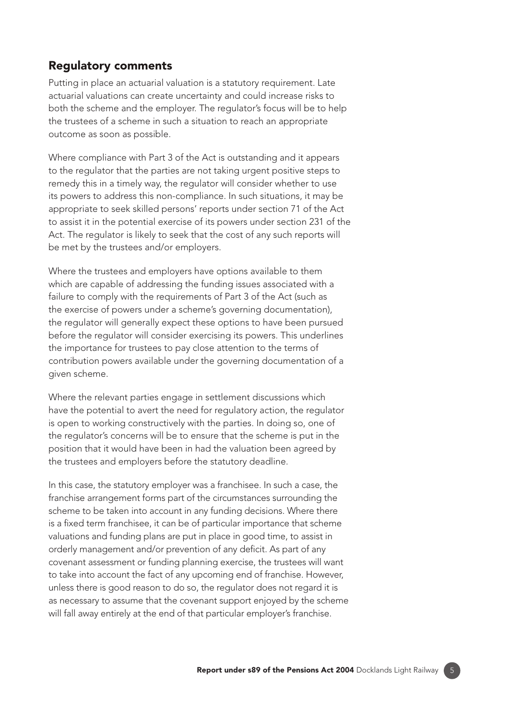#### Regulatory comments

Putting in place an actuarial valuation is a statutory requirement. Late actuarial valuations can create uncertainty and could increase risks to both the scheme and the employer. The regulator's focus will be to help the trustees of a scheme in such a situation to reach an appropriate outcome as soon as possible.

Where compliance with Part 3 of the Act is outstanding and it appears to the regulator that the parties are not taking urgent positive steps to remedy this in a timely way, the regulator will consider whether to use its powers to address this non-compliance. In such situations, it may be appropriate to seek skilled persons' reports under section 71 of the Act to assist it in the potential exercise of its powers under section 231 of the Act. The regulator is likely to seek that the cost of any such reports will be met by the trustees and/or employers.

Where the trustees and employers have options available to them which are capable of addressing the funding issues associated with a failure to comply with the requirements of Part 3 of the Act (such as the exercise of powers under a scheme's governing documentation), the regulator will generally expect these options to have been pursued before the regulator will consider exercising its powers. This underlines the importance for trustees to pay close attention to the terms of contribution powers available under the governing documentation of a given scheme.

Where the relevant parties engage in settlement discussions which have the potential to avert the need for regulatory action, the regulator is open to working constructively with the parties. In doing so, one of the regulator's concerns will be to ensure that the scheme is put in the position that it would have been in had the valuation been agreed by the trustees and employers before the statutory deadline.

In this case, the statutory employer was a franchisee. In such a case, the franchise arrangement forms part of the circumstances surrounding the scheme to be taken into account in any funding decisions. Where there is a fixed term franchisee, it can be of particular importance that scheme valuations and funding plans are put in place in good time, to assist in orderly management and/or prevention of any deficit. As part of any covenant assessment or funding planning exercise, the trustees will want to take into account the fact of any upcoming end of franchise. However, unless there is good reason to do so, the regulator does not regard it is as necessary to assume that the covenant support enjoyed by the scheme will fall away entirely at the end of that particular employer's franchise.